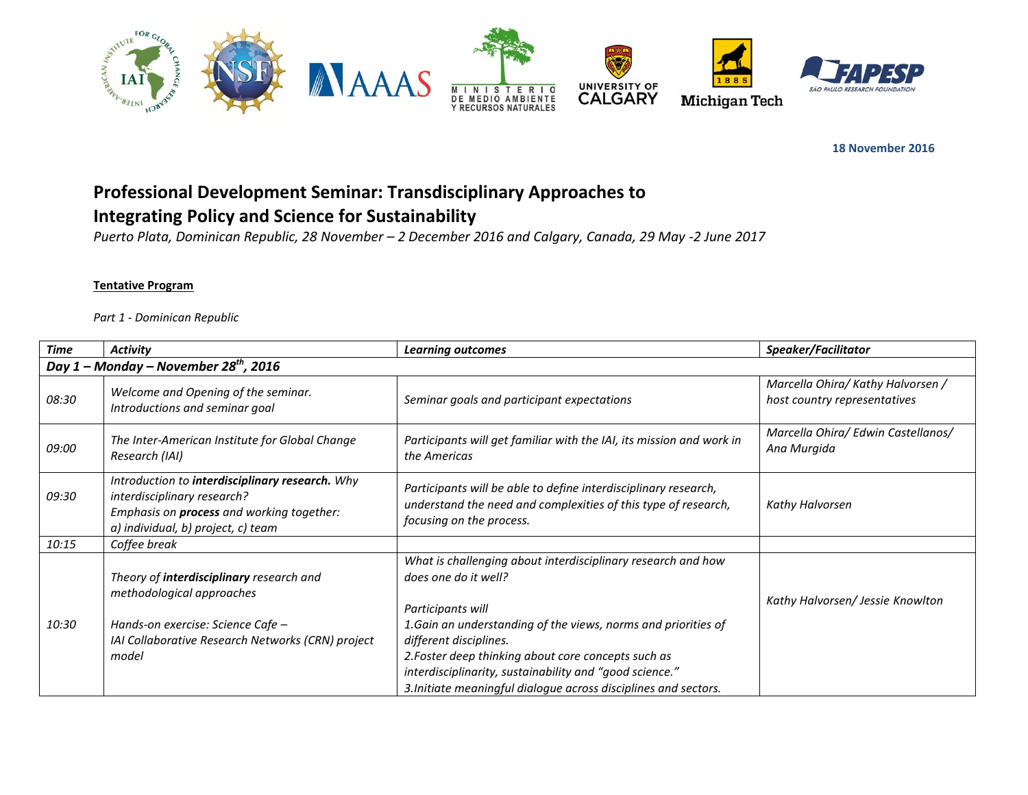

**18 November 2016** 

## **Professional Development Seminar: Transdisciplinary Approaches to Integrating Policy and Science for Sustainability**

*Puerto Plata, Dominican Republic, 28 November – 2 December 2016 and Calgary, Canada, 29 May -2 June 2017*

## **Tentative Program**

*Part 1 - Dominican Republic*

| <b>Time</b>                                       | <b>Activity</b>                                                                                                                                                          | <b>Learning outcomes</b>                                                                                                                                                                                    | Speaker/Facilitator                                               |
|---------------------------------------------------|--------------------------------------------------------------------------------------------------------------------------------------------------------------------------|-------------------------------------------------------------------------------------------------------------------------------------------------------------------------------------------------------------|-------------------------------------------------------------------|
| Day 1 – Monday – November 28 <sup>th</sup> , 2016 |                                                                                                                                                                          |                                                                                                                                                                                                             |                                                                   |
| 08:30                                             | Welcome and Opening of the seminar.<br>Introductions and seminar goal                                                                                                    | Seminar goals and participant expectations                                                                                                                                                                  | Marcella Ohira/ Kathy Halvorsen /<br>host country representatives |
| 09:00                                             | The Inter-American Institute for Global Change<br>Research (IAI)                                                                                                         | Participants will get familiar with the IAI, its mission and work in<br>the Americas                                                                                                                        | Marcella Ohira/ Edwin Castellanos/<br>Ana Murgida                 |
| 09:30                                             | Introduction to interdisciplinary research. Why<br>interdisciplinary research?<br>Emphasis on <b>process</b> and working together:<br>a) individual, b) project, c) team | Participants will be able to define interdisciplinary research,<br>understand the need and complexities of this type of research,<br>focusing on the process.                                               | Kathy Halvorsen                                                   |
| 10:15                                             | Coffee break                                                                                                                                                             |                                                                                                                                                                                                             |                                                                   |
| 10:30                                             | Theory of interdisciplinary research and<br>methodological approaches<br>Hands-on exercise: Science Cafe -                                                               | What is challenging about interdisciplinary research and how<br>does one do it well?<br>Participants will<br>1. Gain an understanding of the views, norms and priorities of                                 | Kathy Halvorsen/ Jessie Knowlton                                  |
|                                                   | IAI Collaborative Research Networks (CRN) project<br>model                                                                                                               | different disciplines.<br>2. Foster deep thinking about core concepts such as<br>interdisciplinarity, sustainability and "good science."<br>3. Initiate meaningful dialogue across disciplines and sectors. |                                                                   |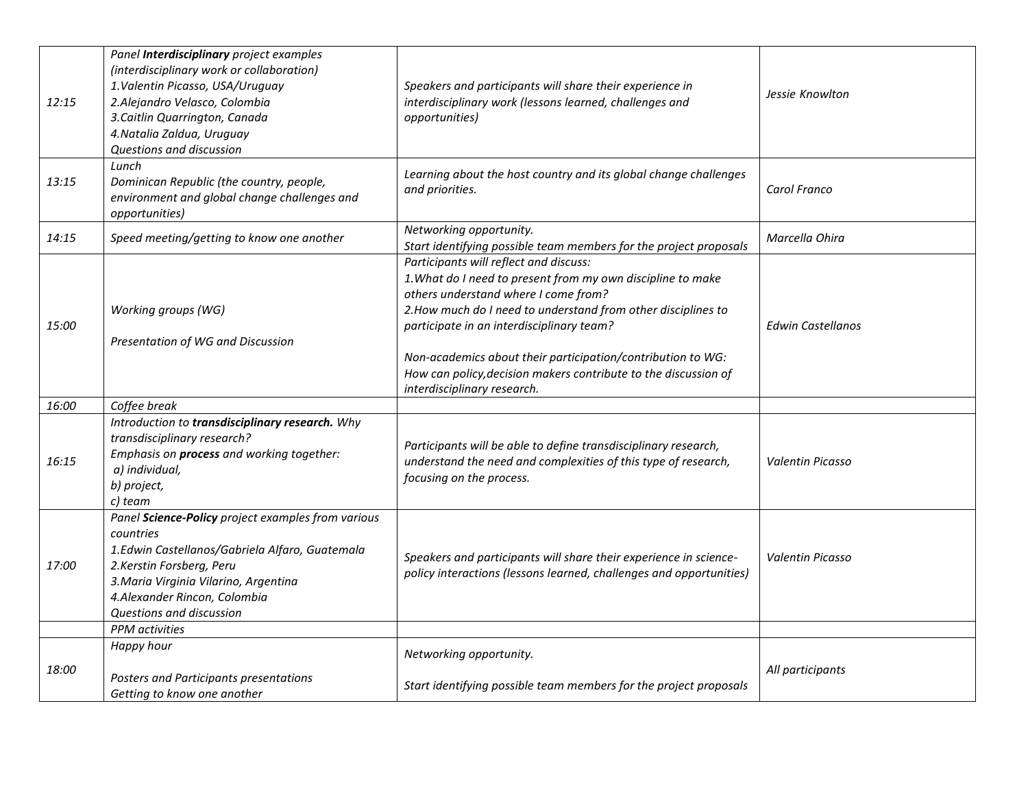| 12:15 | Panel Interdisciplinary project examples<br>(interdisciplinary work or collaboration)<br>1. Valentin Picasso, USA/Uruguay<br>2.Alejandro Velasco, Colombia<br>3. Caitlin Quarrington, Canada<br>4. Natalia Zaldua, Uruguay<br>Questions and discussion | Speakers and participants will share their experience in<br>interdisciplinary work (lessons learned, challenges and<br>opportunities)                                                                                                                                                                                                                                                                                        | Jessie Knowlton          |
|-------|--------------------------------------------------------------------------------------------------------------------------------------------------------------------------------------------------------------------------------------------------------|------------------------------------------------------------------------------------------------------------------------------------------------------------------------------------------------------------------------------------------------------------------------------------------------------------------------------------------------------------------------------------------------------------------------------|--------------------------|
| 13:15 | Lunch<br>Dominican Republic (the country, people,<br>environment and global change challenges and<br>opportunities)                                                                                                                                    | Learning about the host country and its global change challenges<br>and priorities.                                                                                                                                                                                                                                                                                                                                          | Carol Franco             |
| 14:15 | Speed meeting/getting to know one another                                                                                                                                                                                                              | Networking opportunity.<br>Start identifying possible team members for the project proposals                                                                                                                                                                                                                                                                                                                                 | Marcella Ohira           |
| 15:00 | Working groups (WG)<br>Presentation of WG and Discussion                                                                                                                                                                                               | Participants will reflect and discuss:<br>1. What do I need to present from my own discipline to make<br>others understand where I come from?<br>2. How much do I need to understand from other disciplines to<br>participate in an interdisciplinary team?<br>Non-academics about their participation/contribution to WG:<br>How can policy, decision makers contribute to the discussion of<br>interdisciplinary research. | <b>Edwin Castellanos</b> |
| 16:00 | Coffee break                                                                                                                                                                                                                                           |                                                                                                                                                                                                                                                                                                                                                                                                                              |                          |
| 16:15 | Introduction to transdisciplinary research. Why<br>transdisciplinary research?<br>Emphasis on process and working together:<br>a) individual,<br>b) project,<br>c) team                                                                                | Participants will be able to define transdisciplinary research,<br>understand the need and complexities of this type of research,<br>focusing on the process.                                                                                                                                                                                                                                                                | <b>Valentin Picasso</b>  |
| 17:00 | Panel Science-Policy project examples from various<br>countries<br>1.Edwin Castellanos/Gabriela Alfaro, Guatemala<br>2. Kerstin Forsberg, Peru<br>3. Maria Virginia Vilarino, Argentina<br>4. Alexander Rincon, Colombia<br>Questions and discussion   | Speakers and participants will share their experience in science-<br>policy interactions (lessons learned, challenges and opportunities)                                                                                                                                                                                                                                                                                     | Valentin Picasso         |
|       | <b>PPM</b> activities                                                                                                                                                                                                                                  |                                                                                                                                                                                                                                                                                                                                                                                                                              |                          |
|       | Happy hour                                                                                                                                                                                                                                             | Networking opportunity.                                                                                                                                                                                                                                                                                                                                                                                                      |                          |
| 18:00 | Posters and Participants presentations<br>Getting to know one another                                                                                                                                                                                  | Start identifying possible team members for the project proposals                                                                                                                                                                                                                                                                                                                                                            | All participants         |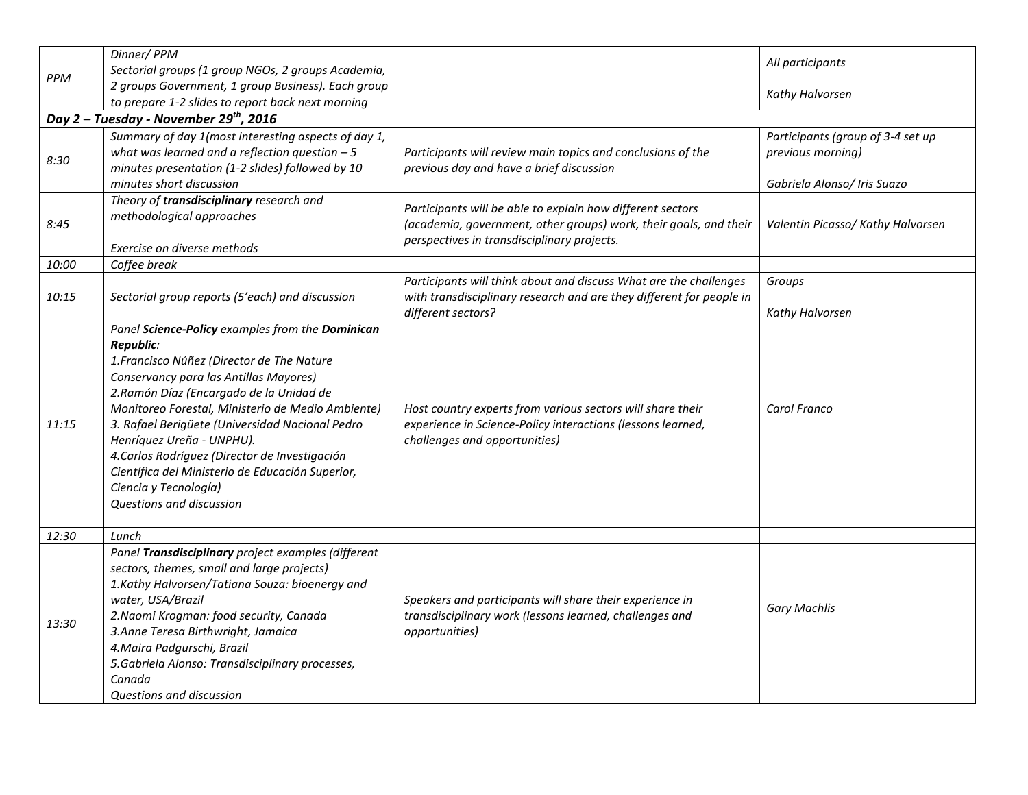|       | Dinner/PPM                                          |                                                                      |                                   |  |
|-------|-----------------------------------------------------|----------------------------------------------------------------------|-----------------------------------|--|
| PPM   | Sectorial groups (1 group NGOs, 2 groups Academia,  |                                                                      | All participants                  |  |
|       | 2 groups Government, 1 group Business). Each group  |                                                                      | Kathy Halvorsen                   |  |
|       | to prepare 1-2 slides to report back next morning   |                                                                      |                                   |  |
|       | Day 2 - Tuesday - November 29 <sup>th</sup> , 2016  |                                                                      |                                   |  |
|       | Summary of day 1(most interesting aspects of day 1, |                                                                      | Participants (group of 3-4 set up |  |
| 8:30  | what was learned and a reflection question $-5$     | Participants will review main topics and conclusions of the          | previous morning)                 |  |
|       | minutes presentation (1-2 slides) followed by 10    | previous day and have a brief discussion                             |                                   |  |
|       | minutes short discussion                            |                                                                      | Gabriela Alonso/ Iris Suazo       |  |
|       | Theory of transdisciplinary research and            | Participants will be able to explain how different sectors           |                                   |  |
| 8:45  | methodological approaches                           | (academia, government, other groups) work, their goals, and their    | Valentin Picasso/ Kathy Halvorsen |  |
|       |                                                     | perspectives in transdisciplinary projects.                          |                                   |  |
|       | Exercise on diverse methods                         |                                                                      |                                   |  |
| 10:00 | Coffee break                                        |                                                                      |                                   |  |
|       |                                                     | Participants will think about and discuss What are the challenges    | Groups                            |  |
| 10:15 | Sectorial group reports (5'each) and discussion     | with transdisciplinary research and are they different for people in |                                   |  |
|       |                                                     | different sectors?                                                   | Kathy Halvorsen                   |  |
|       | Panel Science-Policy examples from the Dominican    |                                                                      |                                   |  |
|       | Republic:                                           |                                                                      |                                   |  |
|       | 1. Francisco Núñez (Director de The Nature          |                                                                      |                                   |  |
|       | Conservancy para las Antillas Mayores)              |                                                                      |                                   |  |
|       | 2. Ramón Díaz (Encargado de la Unidad de            |                                                                      |                                   |  |
|       | Monitoreo Forestal, Ministerio de Medio Ambiente)   | Host country experts from various sectors will share their           | Carol Franco                      |  |
| 11:15 | 3. Rafael Berigüete (Universidad Nacional Pedro     | experience in Science-Policy interactions (lessons learned,          |                                   |  |
|       | Henríquez Ureña - UNPHU).                           | challenges and opportunities)                                        |                                   |  |
|       | 4. Carlos Rodríguez (Director de Investigación      |                                                                      |                                   |  |
|       | Científica del Ministerio de Educación Superior,    |                                                                      |                                   |  |
|       | Ciencia y Tecnología)                               |                                                                      |                                   |  |
|       | Questions and discussion                            |                                                                      |                                   |  |
| 12:30 | Lunch                                               |                                                                      |                                   |  |
|       | Panel Transdisciplinary project examples (different |                                                                      |                                   |  |
|       | sectors, themes, small and large projects)          |                                                                      |                                   |  |
|       | 1.Kathy Halvorsen/Tatiana Souza: bioenergy and      |                                                                      |                                   |  |
|       | water, USA/Brazil                                   | Speakers and participants will share their experience in             |                                   |  |
| 13:30 | 2. Naomi Krogman: food security, Canada             | transdisciplinary work (lessons learned, challenges and              | <b>Gary Machlis</b>               |  |
|       | 3. Anne Teresa Birthwright, Jamaica                 | opportunities)                                                       |                                   |  |
|       | 4. Maira Padgurschi, Brazil                         |                                                                      |                                   |  |
|       | 5. Gabriela Alonso: Transdisciplinary processes,    |                                                                      |                                   |  |
|       | Canada                                              |                                                                      |                                   |  |
|       | Questions and discussion                            |                                                                      |                                   |  |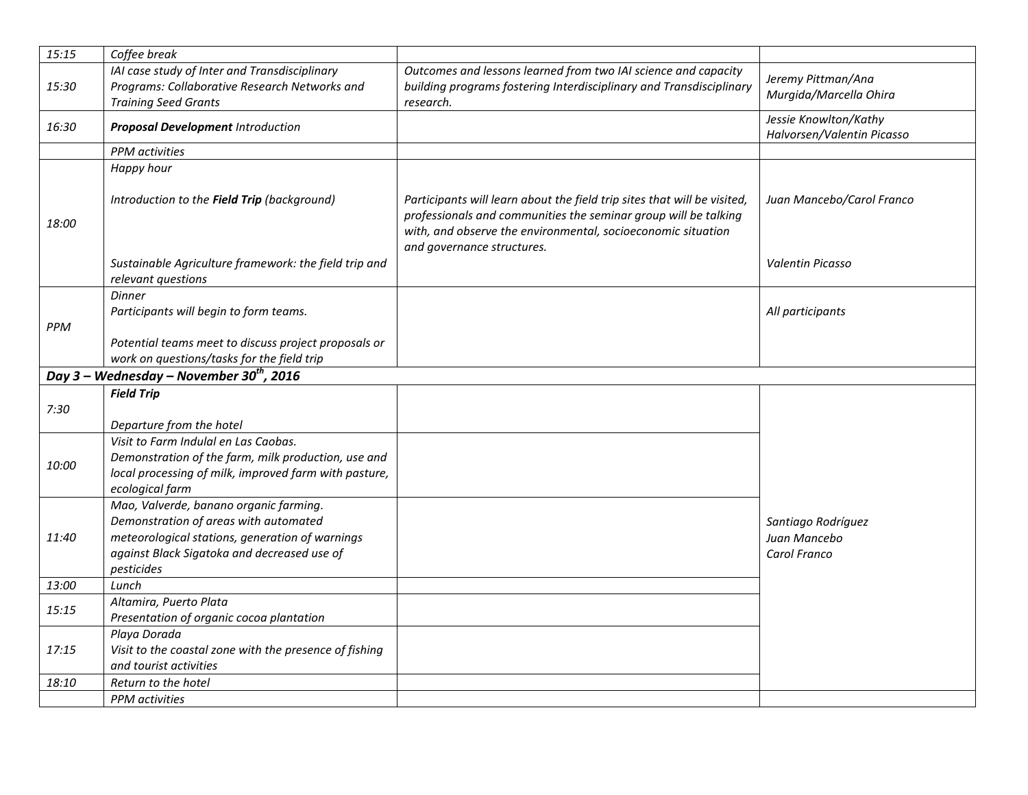| 15:15 | Coffee break                                                                                                                                                                                    |                                                                                                                                                                                                                                           |                                                     |
|-------|-------------------------------------------------------------------------------------------------------------------------------------------------------------------------------------------------|-------------------------------------------------------------------------------------------------------------------------------------------------------------------------------------------------------------------------------------------|-----------------------------------------------------|
| 15:30 | IAI case study of Inter and Transdisciplinary<br>Programs: Collaborative Research Networks and<br><b>Training Seed Grants</b>                                                                   | Outcomes and lessons learned from two IAI science and capacity<br>building programs fostering Interdisciplinary and Transdisciplinary<br>research.                                                                                        | Jeremy Pittman/Ana<br>Murgida/Marcella Ohira        |
| 16:30 | <b>Proposal Development Introduction</b>                                                                                                                                                        |                                                                                                                                                                                                                                           | Jessie Knowlton/Kathy<br>Halvorsen/Valentin Picasso |
|       | PPM activities                                                                                                                                                                                  |                                                                                                                                                                                                                                           |                                                     |
| 18:00 | Happy hour<br>Introduction to the Field Trip (background)                                                                                                                                       | Participants will learn about the field trip sites that will be visited,<br>professionals and communities the seminar group will be talking<br>with, and observe the environmental, socioeconomic situation<br>and governance structures. | Juan Mancebo/Carol Franco                           |
|       | Sustainable Agriculture framework: the field trip and<br>relevant questions                                                                                                                     |                                                                                                                                                                                                                                           | Valentin Picasso                                    |
| PPM   | <b>Dinner</b><br>Participants will begin to form teams.<br>Potential teams meet to discuss project proposals or                                                                                 |                                                                                                                                                                                                                                           | All participants                                    |
|       | work on questions/tasks for the field trip                                                                                                                                                      |                                                                                                                                                                                                                                           |                                                     |
|       | Day 3 – Wednesday – November 30 <sup>th</sup> , 2016                                                                                                                                            |                                                                                                                                                                                                                                           |                                                     |
|       | <b>Field Trip</b>                                                                                                                                                                               |                                                                                                                                                                                                                                           |                                                     |
| 7:30  | Departure from the hotel                                                                                                                                                                        |                                                                                                                                                                                                                                           |                                                     |
| 10:00 | Visit to Farm Indulal en Las Caobas.<br>Demonstration of the farm, milk production, use and<br>local processing of milk, improved farm with pasture,<br>ecological farm                         |                                                                                                                                                                                                                                           |                                                     |
| 11:40 | Mao, Valverde, banano organic farming.<br>Demonstration of areas with automated<br>meteorological stations, generation of warnings<br>against Black Sigatoka and decreased use of<br>pesticides |                                                                                                                                                                                                                                           | Santiago Rodríguez<br>Juan Mancebo<br>Carol Franco  |
| 13:00 | Lunch                                                                                                                                                                                           |                                                                                                                                                                                                                                           |                                                     |
| 15:15 | Altamira, Puerto Plata<br>Presentation of organic cocoa plantation                                                                                                                              |                                                                                                                                                                                                                                           |                                                     |
| 17:15 | Playa Dorada<br>Visit to the coastal zone with the presence of fishing<br>and tourist activities                                                                                                |                                                                                                                                                                                                                                           |                                                     |
| 18:10 | Return to the hotel                                                                                                                                                                             |                                                                                                                                                                                                                                           |                                                     |
|       | <b>PPM</b> activities                                                                                                                                                                           |                                                                                                                                                                                                                                           |                                                     |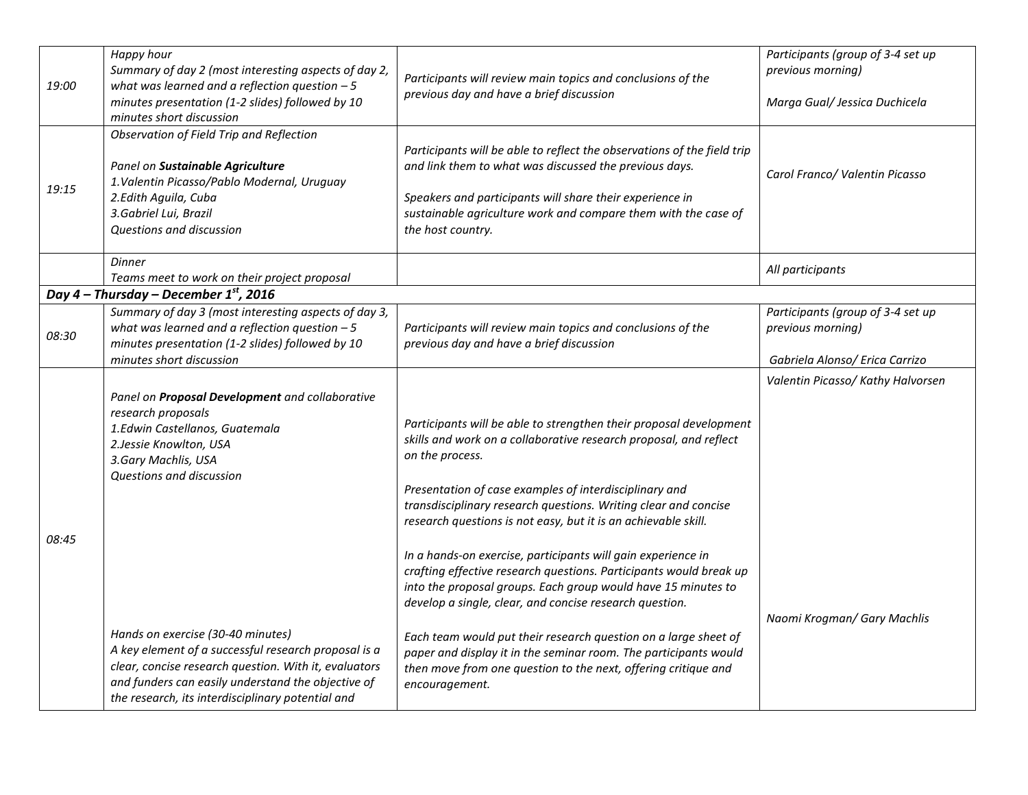| 19:00 | Happy hour<br>Summary of day 2 (most interesting aspects of day 2,<br>what was learned and a reflection question $-5$<br>minutes presentation (1-2 slides) followed by 10<br>minutes short discussion                                                         | Participants will review main topics and conclusions of the<br>previous day and have a brief discussion                                                                                                                                                                              | Participants (group of 3-4 set up<br>previous morning)<br>Marga Gual/ Jessica Duchicela |
|-------|---------------------------------------------------------------------------------------------------------------------------------------------------------------------------------------------------------------------------------------------------------------|--------------------------------------------------------------------------------------------------------------------------------------------------------------------------------------------------------------------------------------------------------------------------------------|-----------------------------------------------------------------------------------------|
| 19:15 | Observation of Field Trip and Reflection<br>Panel on Sustainable Agriculture<br>1. Valentin Picasso/Pablo Modernal, Uruguay<br>2.Edith Aguila, Cuba<br>3. Gabriel Lui, Brazil<br>Questions and discussion                                                     | Participants will be able to reflect the observations of the field trip<br>and link them to what was discussed the previous days.<br>Speakers and participants will share their experience in<br>sustainable agriculture work and compare them with the case of<br>the host country. | Carol Franco/ Valentin Picasso                                                          |
|       | <b>Dinner</b><br>Teams meet to work on their project proposal                                                                                                                                                                                                 |                                                                                                                                                                                                                                                                                      | All participants                                                                        |
|       | Day 4 – Thursday – December $1^{st}$ , 2016                                                                                                                                                                                                                   |                                                                                                                                                                                                                                                                                      |                                                                                         |
| 08:30 | Summary of day 3 (most interesting aspects of day 3,<br>what was learned and a reflection question $-5$<br>minutes presentation (1-2 slides) followed by 10                                                                                                   | Participants will review main topics and conclusions of the<br>previous day and have a brief discussion                                                                                                                                                                              | Participants (group of 3-4 set up<br>previous morning)                                  |
|       | minutes short discussion                                                                                                                                                                                                                                      |                                                                                                                                                                                                                                                                                      | Gabriela Alonso/ Erica Carrizo                                                          |
|       | Panel on Proposal Development and collaborative<br>research proposals<br>1.Edwin Castellanos, Guatemala<br>2. Jessie Knowlton, USA<br>3. Gary Machlis, USA<br>Questions and discussion                                                                        | Participants will be able to strengthen their proposal development<br>skills and work on a collaborative research proposal, and reflect<br>on the process.                                                                                                                           | Valentin Picasso/ Kathy Halvorsen                                                       |
| 08:45 |                                                                                                                                                                                                                                                               | Presentation of case examples of interdisciplinary and<br>transdisciplinary research questions. Writing clear and concise<br>research questions is not easy, but it is an achievable skill.                                                                                          |                                                                                         |
|       |                                                                                                                                                                                                                                                               | In a hands-on exercise, participants will gain experience in<br>crafting effective research questions. Participants would break up<br>into the proposal groups. Each group would have 15 minutes to<br>develop a single, clear, and concise research question.                       |                                                                                         |
|       | Hands on exercise (30-40 minutes)<br>A key element of a successful research proposal is a<br>clear, concise research question. With it, evaluators<br>and funders can easily understand the objective of<br>the research, its interdisciplinary potential and | Each team would put their research question on a large sheet of<br>paper and display it in the seminar room. The participants would<br>then move from one question to the next, offering critique and<br>encouragement.                                                              | Naomi Krogman/ Gary Machlis                                                             |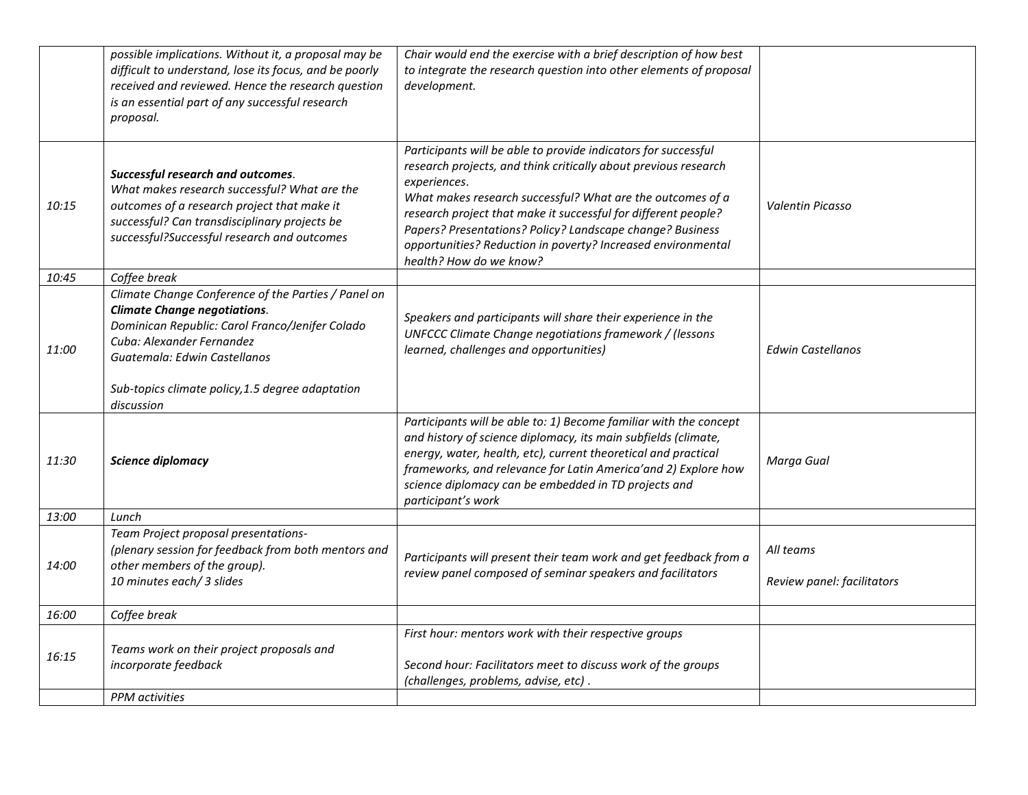|       | possible implications. Without it, a proposal may be<br>difficult to understand, lose its focus, and be poorly<br>received and reviewed. Hence the research question<br>is an essential part of any successful research<br>proposal.                           | Chair would end the exercise with a brief description of how best<br>to integrate the research question into other elements of proposal<br>development.                                                                                                                                                                                                                                                                                   |                                         |
|-------|----------------------------------------------------------------------------------------------------------------------------------------------------------------------------------------------------------------------------------------------------------------|-------------------------------------------------------------------------------------------------------------------------------------------------------------------------------------------------------------------------------------------------------------------------------------------------------------------------------------------------------------------------------------------------------------------------------------------|-----------------------------------------|
| 10:15 | Successful research and outcomes.<br>What makes research successful? What are the<br>outcomes of a research project that make it<br>successful? Can transdisciplinary projects be<br>successful?Successful research and outcomes                               | Participants will be able to provide indicators for successful<br>research projects, and think critically about previous research<br>experiences.<br>What makes research successful? What are the outcomes of a<br>research project that make it successful for different people?<br>Papers? Presentations? Policy? Landscape change? Business<br>opportunities? Reduction in poverty? Increased environmental<br>health? How do we know? | Valentin Picasso                        |
| 10:45 | Coffee break                                                                                                                                                                                                                                                   |                                                                                                                                                                                                                                                                                                                                                                                                                                           |                                         |
| 11:00 | Climate Change Conference of the Parties / Panel on<br><b>Climate Change negotiations.</b><br>Dominican Republic: Carol Franco/Jenifer Colado<br>Cuba: Alexander Fernandez<br>Guatemala: Edwin Castellanos<br>Sub-topics climate policy, 1.5 degree adaptation | Speakers and participants will share their experience in the<br>UNFCCC Climate Change negotiations framework / (lessons<br>learned, challenges and opportunities)                                                                                                                                                                                                                                                                         | <b>Edwin Castellanos</b>                |
|       | discussion                                                                                                                                                                                                                                                     |                                                                                                                                                                                                                                                                                                                                                                                                                                           |                                         |
| 11:30 | <b>Science diplomacy</b>                                                                                                                                                                                                                                       | Participants will be able to: 1) Become familiar with the concept<br>and history of science diplomacy, its main subfields (climate,<br>energy, water, health, etc), current theoretical and practical<br>frameworks, and relevance for Latin America' and 2) Explore how<br>science diplomacy can be embedded in TD projects and<br>participant's work                                                                                    | Marga Gual                              |
| 13:00 | Lunch                                                                                                                                                                                                                                                          |                                                                                                                                                                                                                                                                                                                                                                                                                                           |                                         |
| 14:00 | Team Project proposal presentations-<br>(plenary session for feedback from both mentors and<br>other members of the group).<br>10 minutes each/ 3 slides                                                                                                       | Participants will present their team work and get feedback from a<br>review panel composed of seminar speakers and facilitators                                                                                                                                                                                                                                                                                                           | All teams<br>Review panel: facilitators |
| 16:00 | Coffee break                                                                                                                                                                                                                                                   |                                                                                                                                                                                                                                                                                                                                                                                                                                           |                                         |
| 16:15 | Teams work on their project proposals and<br>incorporate feedback<br>PPM activities                                                                                                                                                                            | First hour: mentors work with their respective groups<br>Second hour: Facilitators meet to discuss work of the groups<br>(challenges, problems, advise, etc).                                                                                                                                                                                                                                                                             |                                         |
|       |                                                                                                                                                                                                                                                                |                                                                                                                                                                                                                                                                                                                                                                                                                                           |                                         |